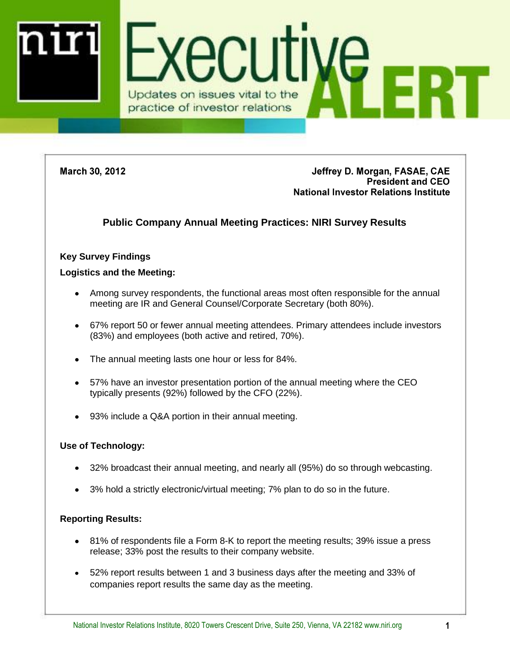

**March 30, 2012** 

Jeffrey D. Morgan, FASAE, CAE **President and CEO National Investor Relations Institute** 

# **Public Company Annual Meeting Practices: NIRI Survey Results**

### **Key Survey Findings**

#### **Logistics and the Meeting:**

- Among survey respondents, the functional areas most often responsible for the annual meeting are IR and General Counsel/Corporate Secretary (both 80%).
- 67% report 50 or fewer annual meeting attendees. Primary attendees include investors (83%) and employees (both active and retired, 70%).
- The annual meeting lasts one hour or less for 84%.
- 57% have an investor presentation portion of the annual meeting where the CEO typically presents (92%) followed by the CFO (22%).
- 93% include a Q&A portion in their annual meeting.

### **Use of Technology:**

- 32% broadcast their annual meeting, and nearly all (95%) do so through webcasting.
- 3% hold a strictly electronic/virtual meeting; 7% plan to do so in the future.

### **Reporting Results:**

- 81% of respondents file a Form 8-K to report the meeting results; 39% issue a press release; 33% post the results to their company website.
- 52% report results between 1 and 3 business days after the meeting and 33% of companies report results the same day as the meeting.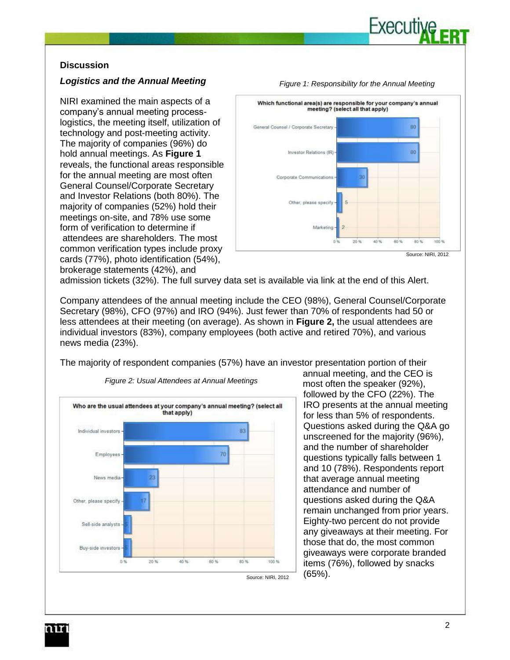

### **Discussion**

#### *Logistics and the Annual Meeting*

NIRI examined the main aspects of a company's annual meeting processlogistics, the meeting itself, utilization of technology and post-meeting activity. The majority of companies (96%) do hold annual meetings. As **Figure 1** reveals, the functional areas responsible for the annual meeting are most often General Counsel/Corporate Secretary and Investor Relations (both 80%). The majority of companies (52%) hold their meetings on-site, and 78% use some form of verification to determine if attendees are shareholders. The most common verification types include proxy cards (77%), photo identification (54%), brokerage statements (42%), and



admission tickets (32%). The full survey data set is available via link at the end of this Alert.

Company attendees of the annual meeting include the CEO (98%), General Counsel/Corporate Secretary (98%), CFO (97%) and IRO (94%). Just fewer than 70% of respondents had 50 or less attendees at their meeting (on average). As shown in **Figure 2,** the usual attendees are individual investors (83%), company employees (both active and retired 70%), and various news media (23%).

The majority of respondent companies (57%) have an investor presentation portion of their



*Figure 2: Usual Attendees at Annual Meetings* 

annual meeting, and the CEO is most often the speaker (92%), followed by the CFO (22%). The IRO presents at the annual meeting for less than 5% of respondents. Questions asked during the Q&A go unscreened for the majority (96%), and the number of shareholder questions typically falls between 1 and 10 (78%). Respondents report that average annual meeting attendance and number of questions asked during the Q&A remain unchanged from prior years. Eighty-two percent do not provide any giveaways at their meeting. For those that do, the most common giveaways were corporate branded items (76%), followed by snacks (65%).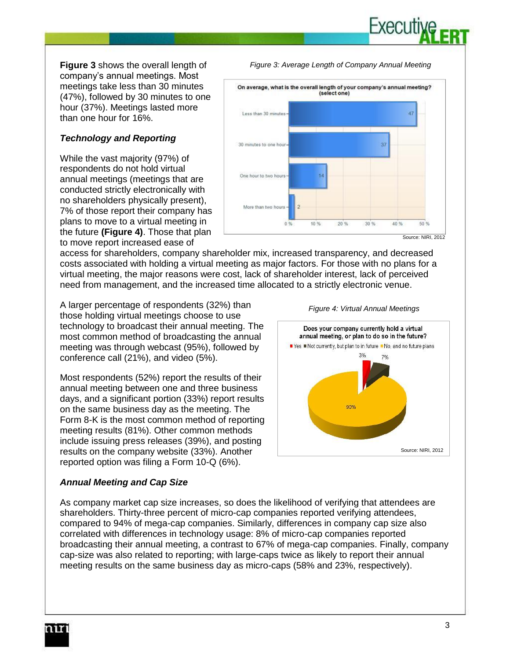**Figure 3** shows the overall length of company's annual meetings. Most meetings take less than 30 minutes (47%), followed by 30 minutes to one hour (37%). Meetings lasted more than one hour for 16%.

# *Technology and Reporting*

While the vast majority (97%) of respondents do not hold virtual annual meetings (meetings that are conducted strictly electronically with no shareholders physically present), 7% of those report their company has plans to move to a virtual meeting in the future **(Figure 4)**. Those that plan to move report increased ease of

On average, what is the overall length of your company's annual meeting? (select one) Less than 30 minutes 30 minutes to one hour-37 One hour to two hours More than two hours  $0.96$ 10 % 20% 30 % 40% 50 % Source: NIRI, 2012

*Figure 3: Average Length of Company Annual Meeting*

Executi

access for shareholders, company shareholder mix, increased transparency, and decreased costs associated with holding a virtual meeting as major factors. For those with no plans for a virtual meeting, the major reasons were cost, lack of shareholder interest, lack of perceived need from management, and the increased time allocated to a strictly electronic venue.

A larger percentage of respondents (32%) than those holding virtual meetings choose to use technology to broadcast their annual meeting. The most common method of broadcasting the annual meeting was through webcast (95%), followed by conference call (21%), and video (5%).

Most respondents (52%) report the results of their annual meeting between one and three business days, and a significant portion (33%) report results on the same business day as the meeting. The Form 8-K is the most common method of reporting meeting results (81%). Other common methods include issuing press releases (39%), and posting results on the company website (33%). Another reported option was filing a Form 10-Q (6%).





#### *Annual Meeting and Cap Size*

As company market cap size increases, so does the likelihood of verifying that attendees are shareholders. Thirty-three percent of micro-cap companies reported verifying attendees, compared to 94% of mega-cap companies. Similarly, differences in company cap size also correlated with differences in technology usage: 8% of micro-cap companies reported broadcasting their annual meeting, a contrast to 67% of mega-cap companies. Finally, company cap-size was also related to reporting; with large-caps twice as likely to report their annual meeting results on the same business day as micro-caps (58% and 23%, respectively).